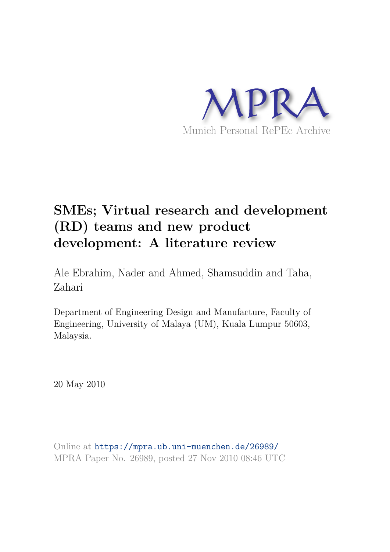

# **SMEs; Virtual research and development (RD) teams and new product development: A literature review**

Ale Ebrahim, Nader and Ahmed, Shamsuddin and Taha, Zahari

Department of Engineering Design and Manufacture, Faculty of Engineering, University of Malaya (UM), Kuala Lumpur 50603, Malaysia.

20 May 2010

Online at https://mpra.ub.uni-muenchen.de/26989/ MPRA Paper No. 26989, posted 27 Nov 2010 08:46 UTC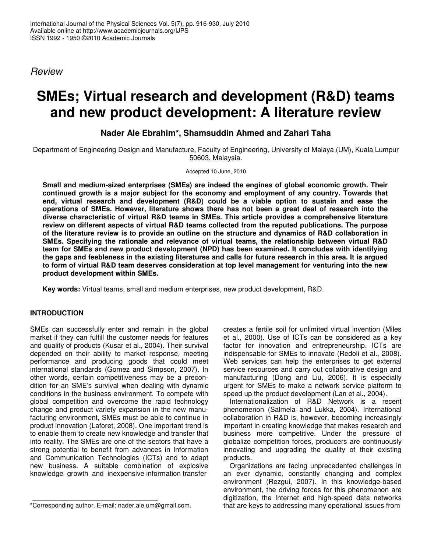Review

## **SMEs; Virtual research and development (R&D) teams and new product development: A literature review**

## **Nader Ale Ebrahim\*, Shamsuddin Ahmed and Zahari Taha**

Department of Engineering Design and Manufacture, Faculty of Engineering, University of Malaya (UM), Kuala Lumpur 50603, Malaysia.

Accepted 10 June, 2010

**Small and medium-sized enterprises (SMEs) are indeed the engines of global economic growth. Their continued growth is a major subject for the economy and employment of any country. Towards that end, virtual research and development (R&D) could be a viable option to sustain and ease the operations of SMEs. However, literature shows there has not been a great deal of research into the diverse characteristic of virtual R&D teams in SMEs. This article provides a comprehensive literature review on different aspects of virtual R&D teams collected from the reputed publications. The purpose of the literature review is to provide an outline on the structure and dynamics of R&D collaboration in SMEs. Specifying the rationale and relevance of virtual teams, the relationship between virtual R&D team for SMEs and new product development (NPD) has been examined. It concludes with identifying the gaps and feebleness in the existing literatures and calls for future research in this area. It is argued to form of virtual R&D team deserves consideration at top level management for venturing into the new product development within SMEs.** 

**Key words:** Virtual teams, small and medium enterprises, new product development, R&D.

## **INTRODUCTION**

SMEs can successfully enter and remain in the global market if they can fulfill the customer needs for features and quality of products (Kusar et al., 2004). Their survival depended on their ability to market response, meeting performance and producing goods that could meet international standards (Gomez and Simpson, 2007). In other words, certain competitiveness may be a precondition for an SME's survival when dealing with dynamic conditions in the business environment. To compete with global competition and overcome the rapid technology change and product variety expansion in the new manufacturing environment, SMEs must be able to continue in product innovation (Laforet, 2008). One important trend is to enable them to create new knowledge and transfer that into reality. The SMEs are one of the sectors that have a strong potential to benefit from advances in Information and Communication Technologies (ICTs) and to adapt new business. A suitable combination of explosive knowledge growth and inexpensive information transfer

creates a fertile soil for unlimited virtual invention (Miles et al., 2000). Use of ICTs can be considered as a key factor for innovation and entrepreneurship. ICTs are indispensable for SMEs to innovate (Redoli et al., 2008). Web services can help the enterprises to get external service resources and carry out collaborative design and manufacturing (Dong and Liu, 2006). It is especially urgent for SMEs to make a network service platform to speed up the product development (Lan et al., 2004).

Internationalization of R&D Network is a recent phenomenon (Salmela and Lukka, 2004). International collaboration in R&D is, however, becoming increasingly important in creating knowledge that makes research and business more competitive. Under the pressure of globalize competition forces, producers are continuously innovating and upgrading the quality of their existing products.

Organizations are facing unprecedented challenges in an ever dynamic, constantly changing and complex environment (Rezgui, 2007). In this knowledge-based environment, the driving forces for this phenomenon are digitization, the Internet and high-speed data networks that are keys to addressing many operational issues from

<sup>\*</sup>Corresponding author. E-mail: nader.ale.um@gmail.com.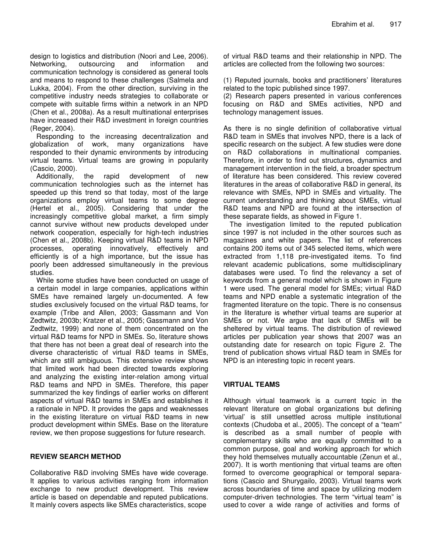design to logistics and distribution (Noori and Lee, 2006). Networking, outsourcing and information and communication technology is considered as general tools and means to respond to these challenges (Salmela and Lukka, 2004). From the other direction, surviving in the competitive industry needs strategies to collaborate or compete with suitable firms within a network in an NPD (Chen et al., 2008a). As a result multinational enterprises have increased their R&D investment in foreign countries (Reger, 2004).

Responding to the increasing decentralization and globalization of work, many organizations have responded to their dynamic environments by introducing virtual teams. Virtual teams are growing in popularity (Cascio, 2000).

Additionally, the rapid development of new communication technologies such as the internet has speeded up this trend so that today, most of the large organizations employ virtual teams to some degree (Hertel et al., 2005). Considering that under the increasingly competitive global market, a firm simply cannot survive without new products developed under network cooperation, especially for high-tech industries (Chen et al., 2008b). Keeping virtual R&D teams in NPD processes, operating innovatively, effectively and efficiently is of a high importance, but the issue has poorly been addressed simultaneously in the previous studies.

While some studies have been conducted on usage of a certain model in large companies, applications within SMEs have remained largely un-documented. A few studies exclusively focused on the virtual R&D teams, for example (Tribe and Allen, 2003; Gassmann and Von Zedtwitz, 2003b; Kratzer et al., 2005; Gassmann and Von Zedtwitz, 1999) and none of them concentrated on the virtual R&D teams for NPD in SMEs. So, literature shows that there has not been a great deal of research into the diverse characteristic of virtual R&D teams in SMEs, which are still ambiguous. This extensive review shows that limited work had been directed towards exploring and analyzing the existing inter-relation among virtual R&D teams and NPD in SMEs. Therefore, this paper summarized the key findings of earlier works on different aspects of virtual R&D teams in SMEs and establishes it a rationale in NPD. It provides the gaps and weaknesses in the existing literature on virtual R&D teams in new product development within SMEs. Base on the literature review, we then propose suggestions for future research.

## **REVIEW SEARCH METHOD**

Collaborative R&D involving SMEs have wide coverage. It applies to various activities ranging from information exchange to new product development. This review article is based on dependable and reputed publications. It mainly covers aspects like SMEs characteristics, scope

of virtual R&D teams and their relationship in NPD. The articles are collected from the following two sources:

(1) Reputed journals, books and practitioners' literatures related to the topic published since 1997.

(2) Research papers presented in various conferences focusing on R&D and SMEs activities, NPD and technology management issues.

As there is no single definition of collaborative virtual R&D team in SMEs that involves NPD, there is a lack of specific research on the subject. A few studies were done on R&D collaborations in multinational companies. Therefore, in order to find out structures, dynamics and management intervention in the field, a broader spectrum of literature has been considered. This review covered literatures in the areas of collaborative R&D in general, its relevance with SMEs, NPD in SMEs and virtuality. The current understanding and thinking about SMEs, virtual R&D teams and NPD are found at the intersection of these separate fields, as showed in Figure 1.

The investigation limited to the reputed publication since 1997 is not included in the other sources such as magazines and white papers. The list of references contains 200 items out of 345 selected items, which were extracted from 1,118 pre-investigated items. To find relevant academic publications, some multidisciplinary databases were used. To find the relevancy a set of keywords from a general model which is shown in Figure 1 were used. The general model for SMEs; virtual R&D teams and NPD enable a systematic integration of the fragmented literature on the topic. There is no consensus in the literature is whether virtual teams are superior at SMEs or not. We argue that lack of SMEs will be sheltered by virtual teams. The distribution of reviewed articles per publication year shows that 2007 was an outstanding date for research on topic Figure 2. The trend of publication shows virtual R&D team in SMEs for NPD is an interesting topic in recent years.

## **VIRTUAL TEAMS**

Although virtual teamwork is a current topic in the relevant literature on global organizations but defining 'virtual' is still unsettled across multiple institutional contexts (Chudoba et al., 2005). The concept of a "team" is described as a small number of people with complementary skills who are equally committed to a common purpose, goal and working approach for which they hold themselves mutually accountable (Zenun et al., 2007). It is worth mentioning that virtual teams are often formed to overcome geographical or temporal separations (Cascio and Shurygailo, 2003). Virtual teams work across boundaries of time and space by utilizing modern computer-driven technologies. The term "virtual team" is used to cover a wide range of activities and forms of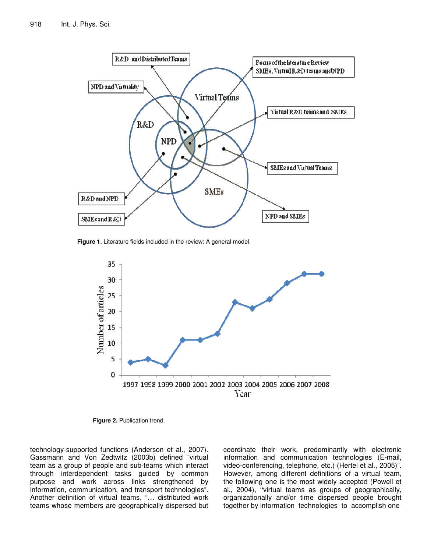

**Figure 1.** Literature fields included in the review: A general model.



**Figure 2.** Publication trend.

technology-supported functions (Anderson et al., 2007). Gassmann and Von Zedtwitz (2003b) defined "virtual team as a group of people and sub-teams which interact through interdependent tasks guided by common purpose and work across links strengthened by information, communication, and transport technologies". Another definition of virtual teams, "… distributed work teams whose members are geographically dispersed but coordinate their work, predominantly with electronic information and communication technologies (E-mail, video-conferencing, telephone, etc.) (Hertel et al., 2005)". However, among different definitions of a virtual team, the following one is the most widely accepted (Powell et al., 2004), ''virtual teams as groups of geographically, organizationally and/or time dispersed people brought together by information technologies to accomplish one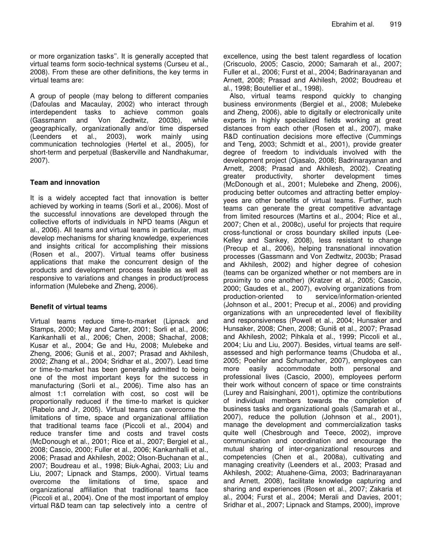or more organization tasks''. It is generally accepted that virtual teams form socio-technical systems (Curseu et al., 2008). From these are other definitions, the key terms in virtual teams are:

A group of people (may belong to different companies (Dafoulas and Macaulay, 2002) who interact through interdependent tasks to achieve common goals (Gassmann and Von Zedtwitz, 2003b), while geographically, organizationally and/or time dispersed (Leenders et al., 2003), work mainly using communication technologies (Hertel et al., 2005), for short-term and perpetual (Baskerville and Nandhakumar, 2007).

#### **Team and innovation**

It is a widely accepted fact that innovation is better achieved by working in teams (Sorli et al., 2006). Most of the successful innovations are developed through the collective efforts of individuals in NPD teams (Akgun et al., 2006). All teams and virtual teams in particular, must develop mechanisms for sharing knowledge, experiences and insights critical for accomplishing their missions (Rosen et al., 2007). Virtual teams offer business applications that make the concurrent design of the products and development process feasible as well as responsive to variations and changes in product/process information (Mulebeke and Zheng, 2006).

#### **Benefit of virtual teams**

Virtual teams reduce time-to-market (Lipnack and Stamps, 2000; May and Carter, 2001; Sorli et al., 2006; Kankanhalli et al., 2006; Chen, 2008; Shachaf, 2008; Kusar et al., 2004; Ge and Hu, 2008; Mulebeke and Zheng, 2006; Guniš et al., 2007; Prasad and Akhilesh, 2002; Zhang et al., 2004; Sridhar et al., 2007). Lead time or time-to-market has been generally admitted to being one of the most important keys for the success in manufacturing (Sorli et al., 2006). Time also has an almost 1:1 correlation with cost, so cost will be proportionally reduced if the time-to market is quicker (Rabelo and Jr, 2005). Virtual teams can overcome the limitations of time, space and organizational affiliation that traditional teams face (Piccoli et al., 2004) and reduce transfer time and costs and travel costs (McDonough et al., 2001; Rice et al., 2007; Bergiel et al., 2008; Cascio, 2000; Fuller et al., 2006; Kankanhalli et al., 2006; Prasad and Akhilesh, 2002; Olson-Buchanan et al., 2007; Boudreau et al., 1998; Biuk-Aghai, 2003; Liu and Liu, 2007; Lipnack and Stamps, 2000). Virtual teams overcome the limitations of time, space and organizational affiliation that traditional teams face (Piccoli et al., 2004). One of the most important of employ virtual R&D team can tap selectively into a centre of

excellence, using the best talent regardless of location (Criscuolo, 2005; Cascio, 2000; Samarah et al., 2007; Fuller et al., 2006; Furst et al., 2004; Badrinarayanan and Arnett, 2008; Prasad and Akhilesh, 2002; Boudreau et al., 1998; Boutellier et al., 1998).

Also, virtual teams respond quickly to changing business environments (Bergiel et al., 2008; Mulebeke and Zheng, 2006), able to digitally or electronically unite experts in highly specialized fields working at great distances from each other (Rosen et al., 2007), make R&D continuation decisions more effective (Cummings and Teng, 2003; Schmidt et al., 2001), provide greater degree of freedom to individuals involved with the development project (Ojasalo, 2008; Badrinarayanan and Arnett, 2008; Prasad and Akhilesh, 2002). Creating greater productivity, shorter development times (McDonough et al., 2001; Mulebeke and Zheng, 2006), producing better outcomes and attracting better employyees are other benefits of virtual teams. Further, such teams can generate the great competitive advantage from limited resources (Martins et al., 2004; Rice et al., 2007; Chen et al., 2008c), useful for projects that require cross-functional or cross boundary skilled inputs (Lee-Kelley and Sankey, 2008), less resistant to change (Precup et al., 2006), helping transnational innovation processes (Gassmann and Von Zedtwitz, 2003b; Prasad and Akhilesh, 2002) and higher degree of cohesion (teams can be organized whether or not members are in proximity to one another) (Kratzer et al., 2005; Cascio, 2000; Gaudes et al., 2007), evolving organizations from production-oriented to service/information-oriented (Johnson et al., 2001; Precup et al., 2006) and providing organizations with an unprecedented level of flexibility and responsiveness (Powell et al., 2004; Hunsaker and Hunsaker, 2008; Chen, 2008; Guniš et al., 2007; Prasad and Akhilesh, 2002; Pihkala et al., 1999; Piccoli et al., 2004; Liu and Liu, 2007). Besides, virtual teams are selfassessed and high performance teams (Chudoba et al., 2005; Poehler and Schumacher, 2007), employees can more easily accommodate both personal and professional lives (Cascio, 2000), employees perform their work without concern of space or time constraints (Lurey and Raisinghani, 2001), optimize the contributions of individual members towards the completion of business tasks and organizational goals (Samarah et al., 2007), reduce the pollution (Johnson et al., 2001), manage the development and commercialization tasks quite well (Chesbrough and Teece, 2002), improve communication and coordination and encourage the mutual sharing of inter-organizational resources and competencies (Chen et al., 2008a), cultivating and managing creativity (Leenders et al., 2003; Prasad and Akhilesh, 2002; Atuahene-Gima, 2003; Badrinarayanan and Arnett, 2008), facilitate knowledge capturing and sharing and experiences (Rosen et al., 2007; Zakaria et al., 2004; Furst et al., 2004; Merali and Davies, 2001; Sridhar et al., 2007; Lipnack and Stamps, 2000), improve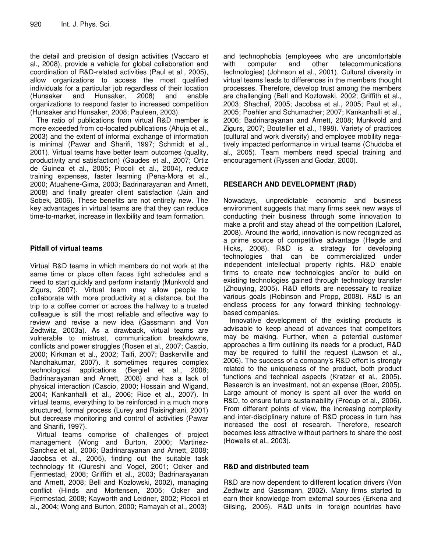the detail and precision of design activities (Vaccaro et al., 2008), provide a vehicle for global collaboration and coordination of R&D-related activities (Paul et al., 2005), allow organizations to access the most qualified individuals for a particular job regardless of their location (Hunsaker and Hunsaker, 2008) and enable organizations to respond faster to increased competition (Hunsaker and Hunsaker, 2008; Pauleen, 2003).

The ratio of publications from virtual R&D member is more exceeded from co-located publications (Ahuja et al., 2003) and the extent of informal exchange of information is minimal (Pawar and Sharifi, 1997; Schmidt et al., 2001). Virtual teams have better team outcomes (quality, productivity and satisfaction) (Gaudes et al., 2007; Ortiz de Guinea et al., 2005; Piccoli et al., 2004), reduce training expenses, faster learning (Pena-Mora et al., 2000; Atuahene-Gima, 2003; Badrinarayanan and Arnett, 2008) and finally greater client satisfaction (Jain and Sobek, 2006). These benefits are not entirely new. The key advantages in virtual teams are that they can reduce time-to-market, increase in flexibility and team formation.

### **Pitfall of virtual teams**

Virtual R&D teams in which members do not work at the same time or place often faces tight schedules and a need to start quickly and perform instantly (Munkvold and Zigurs, 2007). Virtual team may allow people to collaborate with more productivity at a distance, but the trip to a coffee corner or across the hallway to a trusted colleague is still the most reliable and effective way to review and revise a new idea (Gassmann and Von Zedtwitz, 2003a). As a drawback, virtual teams are vulnerable to mistrust, communication breakdowns, conflicts and power struggles (Rosen et al., 2007; Cascio, 2000; Kirkman et al., 2002; Taifi, 2007; Baskerville and Nandhakumar, 2007). It sometimes requires complex technological applications (Bergiel et al., 2008; Badrinarayanan and Arnett, 2008) and has a lack of physical interaction (Cascio, 2000; Hossain and Wigand, 2004; Kankanhalli et al., 2006; Rice et al., 2007). In virtual teams, everything to be reinforced in a much more structured, formal process (Lurey and Raisinghani, 2001) but decrease monitoring and control of activities (Pawar and Sharifi, 1997).

Virtual teams comprise of challenges of project management (Wong and Burton, 2000; Martinez-Sanchez et al., 2006; Badrinarayanan and Arnett, 2008; Jacobsa et al., 2005), finding out the suitable task technology fit (Qureshi and Vogel, 2001; Ocker and Fjermestad, 2008; Griffith et al., 2003; Badrinarayanan and Arnett, 2008; Bell and Kozlowski, 2002), managing conflict (Hinds and Mortensen, 2005; Ocker and Fjermestad, 2008; Kayworth and Leidner, 2002; Piccoli et al., 2004; Wong and Burton, 2000; Ramayah et al., 2003)

and technophobia (employees who are uncomfortable with computer and other telecommunications technologies) (Johnson et al., 2001). Cultural diversity in virtual teams leads to differences in the members thought processes. Therefore, develop trust among the members are challenging (Bell and Kozlowski, 2002; Griffith et al., 2003; Shachaf, 2005; Jacobsa et al., 2005; Paul et al., 2005; Poehler and Schumacher; 2007; Kankanhalli et al., 2006; Badrinarayanan and Arnett, 2008; Munkvold and Zigurs, 2007; Boutellier et al., 1998). Variety of practices (cultural and work diversity) and employee mobility negatively impacted performance in virtual teams (Chudoba et al., 2005). Team members need special training and encouragement (Ryssen and Godar, 2000).

## **RESEARCH AND DEVELOPMENT (R&D)**

Nowadays, unpredictable economic and business environment suggests that many firms seek new ways of conducting their business through some innovation to make a profit and stay ahead of the competition (Laforet, 2008). Around the world, innovation is now recognized as a prime source of competitive advantage (Hegde and Hicks, 2008). R&D is a strategy for developing technologies that can be commercialized under independent intellectual property rights. R&D enable firms to create new technologies and/or to build on existing technologies gained through technology transfer (Zhouying, 2005). R&D efforts are necessary to realize various goals (Robinson and Propp, 2008). R&D is an endless process for any forward thinking technologybased companies.

Innovative development of the existing products is advisable to keep ahead of advances that competitors may be making. Further, when a potential customer approaches a firm outlining its needs for a product, R&D may be required to fulfill the request (Lawson et al., 2006). The success of a company's R&D effort is strongly related to the uniqueness of the product, both product functions and technical aspects (Kratzer et al., 2005). Research is an investment, not an expense (Boer, 2005). Large amount of money is spent all over the world on R&D, to ensure future sustainability (Precup et al., 2006). From different points of view, the increasing complexity and inter-disciplinary nature of R&D process in turn has increased the cost of research. Therefore, research becomes less attractive without partners to share the cost (Howells et al., 2003).

## **R&D and distributed team**

R&D are now dependent to different location drivers (Von Zedtwitz and Gassmann, 2002). Many firms started to earn their knowledge from external sources (Erkena and Gilsing, 2005). R&D units in foreign countries have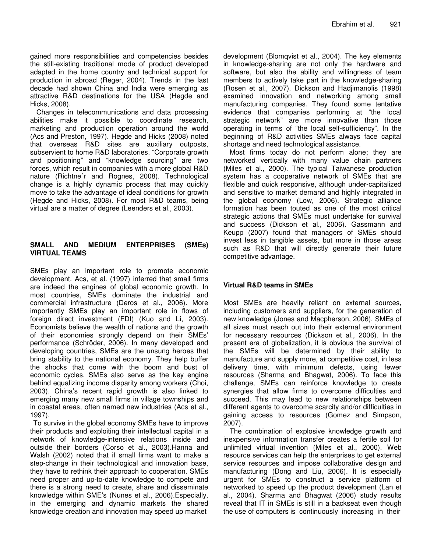gained more responsibilities and competencies besides the still-existing traditional mode of product developed adapted in the home country and technical support for production in abroad (Reger, 2004). Trends in the last decade had shown China and India were emerging as attractive R&D destinations for the USA (Hegde and Hicks, 2008).

Changes in telecommunications and data processing abilities make it possible to coordinate research, marketing and production operation around the world (Acs and Preston, 1997). Hegde and Hicks (2008) noted that overseas R&D sites are auxiliary outposts, subservient to home R&D laboratories. "Corporate growth and positioning" and "knowledge sourcing" are two forces, which result in companies with a more global R&D nature (Richtne´r and Rognes, 2008). Technological change is a highly dynamic process that may quickly move to take the advantage of ideal conditions for growth (Hegde and Hicks, 2008). For most R&D teams, being virtual are a matter of degree (Leenders et al., 2003).

#### **SMALL AND MEDIUM ENTERPRISES (SMEs) VIRTUAL TEAMS**

SMEs play an important role to promote economic development. Acs, et al. (1997) inferred that small firms are indeed the engines of global economic growth. In most countries, SMEs dominate the industrial and commercial infrastructure (Deros et al., 2006). More importantly SMEs play an important role in flows of foreign direct investment (FDI) (Kuo and Li, 2003). Economists believe the wealth of nations and the growth of their economies strongly depend on their SMEs' performance (Schröder, 2006). In many developed and developing countries, SMEs are the unsung heroes that bring stability to the national economy. They help buffer the shocks that come with the boom and bust of economic cycles. SMEs also serve as the key engine behind equalizing income disparity among workers (Choi, 2003). China's recent rapid growth is also linked to emerging many new small firms in village townships and in coastal areas, often named new industries (Acs et al., 1997).

To survive in the global economy SMEs have to improve their products and exploiting their intellectual capital in a network of knowledge-intensive relations inside and outside their borders (Corso et al., 2003).Hanna and Walsh (2002) noted that if small firms want to make a step-change in their technological and innovation base, they have to rethink their approach to cooperation. SMEs need proper and up-to-date knowledge to compete and there is a strong need to create, share and disseminate knowledge within SME's (Nunes et al., 2006).Especially, in the emerging and dynamic markets the shared knowledge creation and innovation may speed up market

development (Blomqvist et al., 2004). The key elements in knowledge-sharing are not only the hardware and software, but also the ability and willingness of team members to actively take part in the knowledge-sharing (Rosen et al., 2007). Dickson and Hadjimanolis (1998) examined innovation and networking among small manufacturing companies. They found some tentative evidence that companies performing at "the local strategic network" are more innovative than those operating in terms of "the local self-sufficiency". In the beginning of R&D activities SMEs always face capital shortage and need technological assistance.

Most firms today do not perform alone; they are networked vertically with many value chain partners (Miles et al., 2000). The typical Taiwanese production system has a cooperative network of SMEs that are flexible and quick responsive, although under-capitalized and sensitive to market demand and highly integrated in the global economy (Low, 2006). Strategic alliance formation has been touted as one of the most critical strategic actions that SMEs must undertake for survival and success (Dickson et al., 2006). Gassmann and Keupp (2007) found that managers of SMEs should invest less in tangible assets, but more in those areas such as R&D that will directly generate their future competitive advantage.

#### **Virtual R&D teams in SMEs**

Most SMEs are heavily reliant on external sources, including customers and suppliers, for the generation of new knowledge (Jones and Macpherson, 2006). SMEs of all sizes must reach out into their external environment for necessary resources (Dickson et al., 2006). In the present era of globalization, it is obvious the survival of the SMEs will be determined by their ability to manufacture and supply more, at competitive cost, in less delivery time, with minimum defects, using fewer resources (Sharma and Bhagwat, 2006). To face this challenge, SMEs can reinforce knowledge to create synergies that allow firms to overcome difficulties and succeed. This may lead to new relationships between different agents to overcome scarcity and/or difficulties in gaining access to resources (Gomez and Simpson, 2007).

The combination of explosive knowledge growth and inexpensive information transfer creates a fertile soil for unlimited virtual invention (Miles et al., 2000). Web resource services can help the enterprises to get external service resources and impose collaborative design and manufacturing (Dong and Liu, 2006). It is especially urgent for SMEs to construct a service platform of networked to speed up the product development (Lan et al., 2004). Sharma and Bhagwat (2006) study results reveal that IT in SMEs is still in a backseat even though the use of computers is continuously increasing in their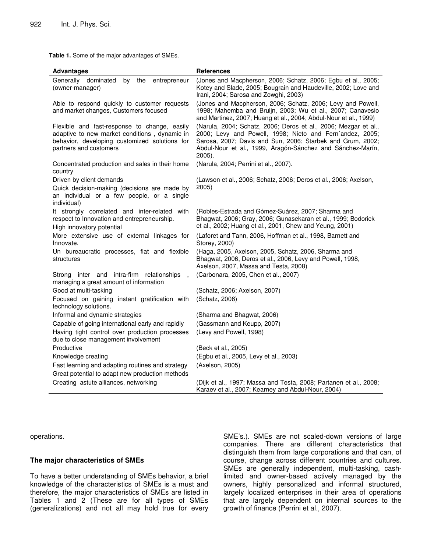**Table 1.** Some of the major advantages of SMEs.

| <b>Advantages</b>                                                                                                                                                        | <b>References</b>                                                                                                                                                                                                                                                    |
|--------------------------------------------------------------------------------------------------------------------------------------------------------------------------|----------------------------------------------------------------------------------------------------------------------------------------------------------------------------------------------------------------------------------------------------------------------|
| Generally dominated<br>by<br>entrepreneur<br>the<br>(owner-manager)                                                                                                      | (Jones and Macpherson, 2006; Schatz, 2006; Egbu et al., 2005;<br>Kotey and Slade, 2005; Bougrain and Haudeville, 2002; Love and<br>Irani, 2004; Sarosa and Zowghi, 2003)                                                                                             |
| Able to respond quickly to customer requests<br>and market changes, Customers focused                                                                                    | (Jones and Macpherson, 2006; Schatz, 2006; Levy and Powell,<br>1998; Mahemba and Bruijn, 2003; Wu et al., 2007; Canavesio<br>and Martinez, 2007; Huang et al., 2004; Abdul-Nour et al., 1999)                                                                        |
| Flexible and fast-response to change, easily<br>adaptive to new market conditions, dynamic in<br>behavior, developing customized solutions for<br>partners and customers | (Narula, 2004; Schatz, 2006; Deros et al., 2006; Mezgar et al.,<br>2000; Levy and Powell, 1998; Nieto and Fern'andez, 2005;<br>Sarosa, 2007; Davis and Sun, 2006; Starbek and Grum, 2002;<br>Abdul-Nour et al., 1999, Aragón-Sánchez and Sánchez-Marín,<br>$2005$ ). |
| Concentrated production and sales in their home<br>country                                                                                                               | (Narula, 2004; Perrini et al., 2007).                                                                                                                                                                                                                                |
| Driven by client demands<br>Quick decision-making (decisions are made by<br>an individual or a few people, or a single<br>individual)                                    | (Lawson et al., 2006; Schatz, 2006; Deros et al., 2006; Axelson,<br>2005)                                                                                                                                                                                            |
| It strongly correlated and inter-related with<br>respect to Innovation and entrepreneurship.<br>High innovatory potential                                                | (Robles-Estrada and Gómez-Suárez, 2007; Sharma and<br>Bhagwat, 2006; Gray, 2006; Gunasekaran et al., 1999; Bodorick<br>et al., 2002; Huang et al., 2001, Chew and Yeung, 2001)                                                                                       |
| More extensive use of external linkages for<br>Innovate.                                                                                                                 | (Laforet and Tann, 2006, Hoffman et al., 1998, Barnett and<br>Storey, 2000)                                                                                                                                                                                          |
| Un bureaucratic processes, flat and flexible<br>structures                                                                                                               | (Haga, 2005, Axelson, 2005, Schatz, 2006, Sharma and<br>Bhagwat, 2006, Deros et al., 2006, Levy and Powell, 1998,<br>Axelson, 2007, Massa and Testa, 2008)                                                                                                           |
| Strong inter and intra-firm relationships<br>managing a great amount of information                                                                                      | (Carbonara, 2005, Chen et al., 2007)                                                                                                                                                                                                                                 |
| Good at multi-tasking                                                                                                                                                    | (Schatz, 2006; Axelson, 2007)                                                                                                                                                                                                                                        |
| Focused on gaining instant gratification with<br>technology solutions.                                                                                                   | (Schatz, 2006)                                                                                                                                                                                                                                                       |
| Informal and dynamic strategies                                                                                                                                          | (Sharma and Bhagwat, 2006)                                                                                                                                                                                                                                           |
| Capable of going international early and rapidly                                                                                                                         | (Gassmann and Keupp, 2007)                                                                                                                                                                                                                                           |
| Having tight control over production processes<br>due to close management involvement                                                                                    | (Levy and Powell, 1998)                                                                                                                                                                                                                                              |
| Productive                                                                                                                                                               | (Beck et al., 2005)                                                                                                                                                                                                                                                  |
| Knowledge creating                                                                                                                                                       | (Egbu et al., 2005, Levy et al., 2003)                                                                                                                                                                                                                               |
| Fast learning and adapting routines and strategy                                                                                                                         | (Axelson, 2005)                                                                                                                                                                                                                                                      |
| Great potential to adapt new production methods                                                                                                                          |                                                                                                                                                                                                                                                                      |
| Creating astute alliances, networking                                                                                                                                    | (Dijk et al., 1997; Massa and Testa, 2008; Partanen et al., 2008;<br>Karaev et al., 2007; Kearney and Abdul-Nour, 2004)                                                                                                                                              |

operations.

#### **The major characteristics of SMEs**

To have a better understanding of SMEs behavior, a brief knowledge of the characteristics of SMEs is a must and therefore, the major characteristics of SMEs are listed in Tables 1 and 2 (These are for all types of SMEs (generalizations) and not all may hold true for every

SME's.). SMEs are not scaled-down versions of large companies. There are different characteristics that distinguish them from large corporations and that can, of course, change across different countries and cultures. SMEs are generally independent, multi-tasking, cashlimited and owner-based actively managed by the owners, highly personalized and informal structured, largely localized enterprises in their area of operations that are largely dependent on internal sources to the growth of finance (Perrini et al., 2007).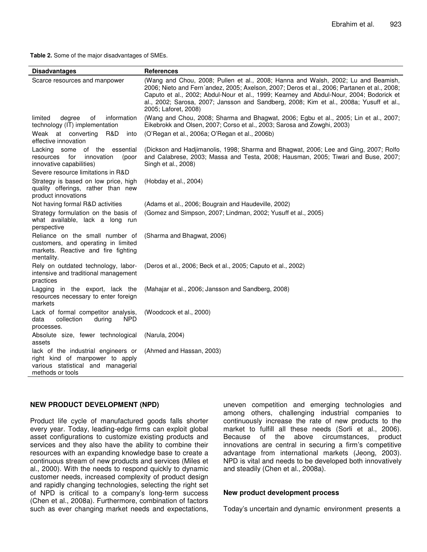**Table 2.** Some of the major disadvantages of SMEs.

| <b>Disadvantages</b>                                                                                                                             | <b>References</b>                                                                                                                                                                                                                                                                                                                                                                             |
|--------------------------------------------------------------------------------------------------------------------------------------------------|-----------------------------------------------------------------------------------------------------------------------------------------------------------------------------------------------------------------------------------------------------------------------------------------------------------------------------------------------------------------------------------------------|
| Scarce resources and manpower                                                                                                                    | (Wang and Chou, 2008; Pullen et al., 2008; Hanna and Walsh, 2002; Lu and Beamish,<br>2006; Nieto and Fern'andez, 2005; Axelson, 2007; Deros et al., 2006; Partanen et al., 2008;<br>Caputo et al., 2002; Abdul-Nour et al., 1999; Kearney and Abdul-Nour, 2004; Bodorick et<br>al., 2002; Sarosa, 2007; Jansson and Sandberg, 2008; Kim et al., 2008a; Yusuff et al.,<br>2005; Laforet, 2008) |
| information<br>limited<br>degree<br>of<br>technology (IT) implementation<br>Weak at converting<br>R&D<br>into                                    | (Wang and Chou, 2008; Sharma and Bhagwat, 2006; Egbu et al., 2005; Lin et al., 2007;<br>Eikebrokk and Olsen, 2007; Corso et al., 2003; Sarosa and Zowghi, 2003)<br>(O'Regan et al., 2006a; O'Regan et al., 2006b)                                                                                                                                                                             |
| effective innovation                                                                                                                             |                                                                                                                                                                                                                                                                                                                                                                                               |
| of the<br>essential<br>Lacking some<br>for<br>innovation<br>resources<br>(poor<br>innovative capabilities)<br>Severe resource limitations in R&D | (Dickson and Hadjimanolis, 1998; Sharma and Bhagwat, 2006; Lee and Ging, 2007; Rolfo<br>and Calabrese, 2003; Massa and Testa, 2008; Hausman, 2005; Tiwari and Buse, 2007;<br>Singh et al., 2008)                                                                                                                                                                                              |
| Strategy is based on low price, high<br>quality offerings, rather than new<br>product innovations                                                | (Hobday et al., 2004)                                                                                                                                                                                                                                                                                                                                                                         |
| Not having formal R&D activities                                                                                                                 | (Adams et al., 2006; Bougrain and Haudeville, 2002)                                                                                                                                                                                                                                                                                                                                           |
| Strategy formulation on the basis of<br>what available, lack a long run<br>perspective                                                           | (Gomez and Simpson, 2007; Lindman, 2002; Yusuff et al., 2005)                                                                                                                                                                                                                                                                                                                                 |
| Reliance on the small number of<br>customers, and operating in limited<br>markets. Reactive and fire fighting<br>mentality.                      | (Sharma and Bhagwat, 2006)                                                                                                                                                                                                                                                                                                                                                                    |
| Rely on outdated technology, labor-<br>intensive and traditional management<br>practices                                                         | (Deros et al., 2006; Beck et al., 2005; Caputo et al., 2002)                                                                                                                                                                                                                                                                                                                                  |
| Lagging in the export, lack the<br>resources necessary to enter foreign<br>markets                                                               | (Mahajar et al., 2006; Jansson and Sandberg, 2008)                                                                                                                                                                                                                                                                                                                                            |
| Lack of formal competitor analysis,<br><b>NPD</b><br>collection<br>data<br>during<br>processes.                                                  | (Woodcock et al., 2000)                                                                                                                                                                                                                                                                                                                                                                       |
| Absolute size, fewer technological<br>assets                                                                                                     | (Narula, 2004)                                                                                                                                                                                                                                                                                                                                                                                |
| lack of the industrial engineers or<br>right kind of manpower to apply<br>various statistical and managerial<br>methods or tools                 | (Ahmed and Hassan, 2003)                                                                                                                                                                                                                                                                                                                                                                      |

#### **NEW PRODUCT DEVELOPMENT (NPD)**

Product life cycle of manufactured goods falls shorter every year. Today, leading-edge firms can exploit global asset configurations to customize existing products and services and they also have the ability to combine their resources with an expanding knowledge base to create a continuous stream of new products and services (Miles et al., 2000). With the needs to respond quickly to dynamic customer needs, increased complexity of product design and rapidly changing technologies, selecting the right set of NPD is critical to a company's long-term success (Chen et al., 2008a). Furthermore, combination of factors such as ever changing market needs and expectations,

uneven competition and emerging technologies and among others, challenging industrial companies to continuously increase the rate of new products to the market to fulfill all these needs (Sorli et al., 2006). Because of the above circumstances, product innovations are central in securing a firm's competitive advantage from international markets (Jeong, 2003). NPD is vital and needs to be developed both innovatively and steadily (Chen et al., 2008a).

#### **New product development process**

Today's uncertain and dynamic environment presents a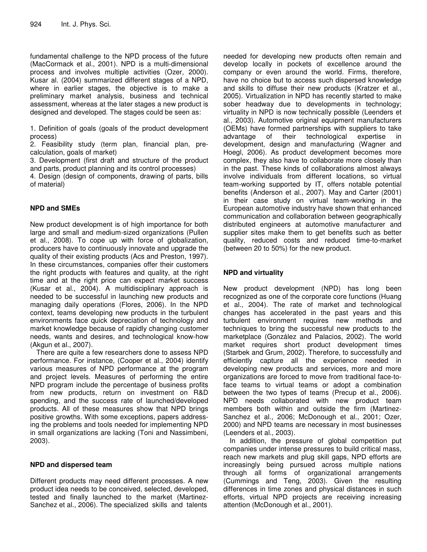fundamental challenge to the NPD process of the future (MacCormack et al., 2001). NPD is a multi-dimensional process and involves multiple activities (Ozer, 2000). Kusar al. (2004) summarized different stages of a NPD, where in earlier stages, the objective is to make a preliminary market analysis, business and technical assessment, whereas at the later stages a new product is designed and developed. The stages could be seen as:

1. Definition of goals (goals of the product development process)

2. Feasibility study (term plan, financial plan, precalculation, goals of market)

3. Development (first draft and structure of the product and parts, product planning and its control processes)

4. Design (design of components, drawing of parts, bills of material)

## **NPD and SMEs**

New product development is of high importance for both large and small and medium-sized organizations (Pullen et al., 2008). To cope up with force of globalization, producers have to continuously innovate and upgrade the quality of their existing products (Acs and Preston, 1997). In these circumstances, companies offer their customers the right products with features and quality, at the right time and at the right price can expect market success (Kusar et al., 2004). A multidisciplinary approach is needed to be successful in launching new products and managing daily operations (Flores, 2006). In the NPD context, teams developing new products in the turbulent environments face quick depreciation of technology and market knowledge because of rapidly changing customer needs, wants and desires, and technological know-how (Akgun et al., 2007).

There are quite a few researchers done to assess NPD performance. For instance, (Cooper et al., 2004) identify various measures of NPD performance at the program and project levels. Measures of performing the entire NPD program include the percentage of business profits from new products, return on investment on R&D spending, and the success rate of launched/developed products. All of these measures show that NPD brings positive growths. With some exceptions, papers addressing the problems and tools needed for implementing NPD in small organizations are lacking (Toni and Nassimbeni, 2003).

## **NPD and dispersed team**

Different products may need different processes. A new product idea needs to be conceived, selected, developed, tested and finally launched to the market (Martinez-Sanchez et al., 2006). The specialized skills and talents

needed for developing new products often remain and develop locally in pockets of excellence around the company or even around the world. Firms, therefore, have no choice but to access such dispersed knowledge and skills to diffuse their new products (Kratzer et al., 2005). Virtualization in NPD has recently started to make sober headway due to developments in technology; virtuality in NPD is now technically possible (Leenders et al., 2003). Automotive original equipment manufacturers (OEMs) have formed partnerships with suppliers to take advantage of their technological expertise in development, design and manufacturing (Wagner and Hoegl, 2006). As product development becomes more complex, they also have to collaborate more closely than in the past. These kinds of collaborations almost always involve individuals from different locations, so virtual team-working supported by IT, offers notable potential benefits (Anderson et al., 2007). May and Carter (2001) in their case study on virtual team-working in the European automotive industry have shown that enhanced communication and collaboration between geographically distributed engineers at automotive manufacturer and supplier sites make them to get benefits such as better quality, reduced costs and reduced time-to-market (between 20 to 50%) for the new product.

## **NPD and virtuality**

New product development (NPD) has long been recognized as one of the corporate core functions (Huang et al., 2004). The rate of market and technological changes has accelerated in the past years and this turbulent environment requires new methods and techniques to bring the successful new products to the marketplace (González and Palacios, 2002). The world market requires short product development times (Starbek and Grum, 2002). Therefore, to successfully and efficiently capture all the experience needed in developing new products and services, more and more organizations are forced to move from traditional face-toface teams to virtual teams or adopt a combination between the two types of teams (Precup et al., 2006). NPD needs collaborated with new product team members both within and outside the firm (Martinez-Sanchez et al., 2006; McDonough et al., 2001; Ozer, 2000) and NPD teams are necessary in most businesses (Leenders et al., 2003).

In addition, the pressure of global competition put companies under intense pressures to build critical mass, reach new markets and plug skill gaps, NPD efforts are increasingly being pursued across multiple nations through all forms of organizational arrangements (Cummings and Teng, 2003). Given the resulting differences in time zones and physical distances in such efforts, virtual NPD projects are receiving increasing attention (McDonough et al., 2001).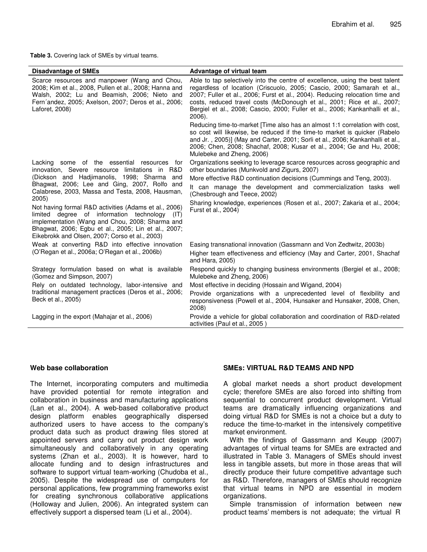**Table 3.** Covering lack of SMEs by virtual teams.

| <b>Disadvantage of SMEs</b>                                                                                                                                                                                                                                                    | Advantage of virtual team                                                                                                                                                                                                                                                                                                                                                                                   |
|--------------------------------------------------------------------------------------------------------------------------------------------------------------------------------------------------------------------------------------------------------------------------------|-------------------------------------------------------------------------------------------------------------------------------------------------------------------------------------------------------------------------------------------------------------------------------------------------------------------------------------------------------------------------------------------------------------|
| Scarce resources and manpower (Wang and Chou,<br>2008; Kim et al., 2008, Pullen et al., 2008; Hanna and<br>Walsh, 2002; Lu and Beamish, 2006; Nieto and<br>Fern'andez, 2005; Axelson, 2007; Deros et al., 2006;<br>Laforet, 2008)                                              | Able to tap selectively into the centre of excellence, using the best talent<br>regardless of location (Criscuolo, 2005; Cascio, 2000; Samarah et al.,<br>2007; Fuller et al., 2006; Furst et al., 2004). Reducing relocation time and<br>costs, reduced travel costs (McDonough et al., 2001; Rice et al., 2007;<br>Bergiel et al., 2008; Cascio, 2000; Fuller et al., 2006; Kankanhalli et al.,<br>2006). |
|                                                                                                                                                                                                                                                                                | Reducing time-to-market [Time also has an almost 1:1 correlation with cost,<br>so cost will likewise, be reduced if the time-to market is quicker (Rabelo<br>and Jr., 2005)] (May and Carter, 2001; Sorli et al., 2006; Kankanhalli et al.,<br>2006; Chen, 2008; Shachaf, 2008; Kusar et al., 2004; Ge and Hu, 2008;<br>Mulebeke and Zheng, 2006)                                                           |
| Lacking some of the essential resources<br>for<br>innovation, Severe resource limitations in R&D<br>(Dickson and Hadjimanolis, 1998; Sharma and<br>Bhagwat, 2006; Lee and Ging, 2007, Rolfo and<br>Calabrese, 2003, Massa and Testa, 2008, Hausman,                            | Organizations seeking to leverage scarce resources across geographic and<br>other boundaries (Munkvold and Zigurs, 2007)                                                                                                                                                                                                                                                                                    |
|                                                                                                                                                                                                                                                                                | More effective R&D continuation decisions (Cummings and Teng, 2003).<br>It can manage the development and commercialization tasks well<br>(Chesbrough and Teece, 2002)                                                                                                                                                                                                                                      |
| 2005)<br>Not having formal R&D activities (Adams et al., 2006)<br>limited degree of information technology<br>(IT)<br>implementation (Wang and Chou, 2008; Sharma and<br>Bhagwat, 2006; Egbu et al., 2005; Lin et al., 2007;<br>Eikebrokk and Olsen, 2007; Corso et al., 2003) | Sharing knowledge, experiences (Rosen et al., 2007; Zakaria et al., 2004;<br>Furst et al., 2004)                                                                                                                                                                                                                                                                                                            |
| Weak at converting R&D into effective innovation<br>(O'Regan et al., 2006a; O'Regan et al., 2006b)                                                                                                                                                                             | Easing transnational innovation (Gassmann and Von Zedtwitz, 2003b)<br>Higher team effectiveness and efficiency (May and Carter, 2001, Shachaf<br>and Hara, 2005)                                                                                                                                                                                                                                            |
| Strategy formulation based on what is available<br>(Gomez and Simpson, 2007)                                                                                                                                                                                                   | Respond quickly to changing business environments (Bergiel et al., 2008;<br>Mulebeke and Zheng, 2006)                                                                                                                                                                                                                                                                                                       |
| Rely on outdated technology, labor-intensive and<br>traditional management practices (Deros et al., 2006;<br>Beck et al., 2005)                                                                                                                                                | Most effective in deciding (Hossain and Wigand, 2004)                                                                                                                                                                                                                                                                                                                                                       |
|                                                                                                                                                                                                                                                                                | Provide organizations with a unprecedented level of flexibility and<br>responsiveness (Powell et al., 2004, Hunsaker and Hunsaker, 2008, Chen,<br>2008)                                                                                                                                                                                                                                                     |
| Lagging in the export (Mahajar et al., 2006)                                                                                                                                                                                                                                   | Provide a vehicle for global collaboration and coordination of R&D-related<br>activities (Paul et al., 2005)                                                                                                                                                                                                                                                                                                |

#### **Web base collaboration**

The Internet, incorporating computers and multimedia have provided potential for remote integration and collaboration in business and manufacturing applications (Lan et al., 2004). A web-based collaborative product design platform enables geographically dispersed authorized users to have access to the company's product data such as product drawing files stored at appointed servers and carry out product design work simultaneously and collaboratively in any operating systems (Zhan et al., 2003). It is however, hard to allocate funding and to design infrastructures and software to support virtual team-working (Chudoba et al., 2005). Despite the widespread use of computers for personal applications, few programming frameworks exist for creating synchronous collaborative applications (Holloway and Julien, 2006). An integrated system can effectively support a dispersed team (Li et al., 2004).

#### **SMEs: VIRTUAL R&D TEAMS AND NPD**

A global market needs a short product development cycle; therefore SMEs are also forced into shifting from sequential to concurrent product development. Virtual teams are dramatically influencing organizations and doing virtual R&D for SMEs is not a choice but a duty to reduce the time-to-market in the intensively competitive market environment.

With the findings of Gassmann and Keupp (2007) advantages of virtual teams for SMEs are extracted and illustrated in Table 3. Managers of SMEs should invest less in tangible assets, but more in those areas that will directly produce their future competitive advantage such as R&D. Therefore, managers of SMEs should recognize that virtual teams in NPD are essential in modern organizations.

Simple transmission of information between new product teams' members is not adequate; the virtual R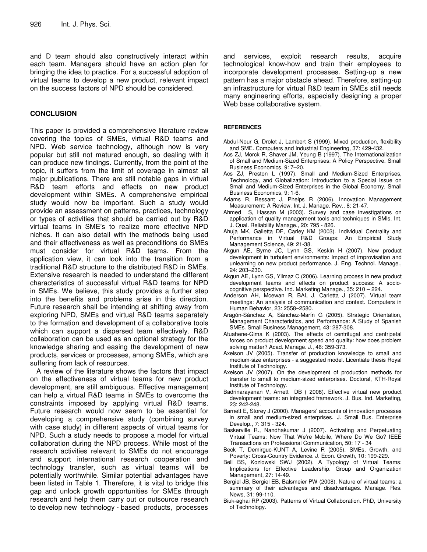and D team should also constructively interact within each team. Managers should have an action plan for bringing the idea to practice. For a successful adoption of virtual teams to develop a new product, relevant impact on the success factors of NPD should be considered.

#### **CONCLUSION**

This paper is provided a comprehensive literature review covering the topics of SMEs, virtual R&D teams and NPD. Web service technology, although now is very popular but still not matured enough, so dealing with it can produce new findings. Currently, from the point of the topic, it suffers from the limit of coverage in almost all major publications. There are still notable gaps in virtual R&D team efforts and effects on new product development within SMEs. A comprehensive empirical study would now be important. Such a study would provide an assessment on patterns, practices, technology or types of activities that should be carried out by R&D virtual teams in SME's to realize more effective NPD niches. It can also detail with the methods being used and their effectiveness as well as preconditions do SMEs must consider for virtual R&D teams. From the application view, it can look into the transition from a traditional R&D structure to the distributed R&D in SMEs. Extensive research is needed to understand the different characteristics of successful virtual R&D teams for NPD in SMEs. We believe, this study provides a further step into the benefits and problems arise in this direction. Future research shall be intending at shifting away from exploring NPD, SMEs and virtual R&D teams separately to the formation and development of a collaborative tools which can support a dispersed team effectively. R&D collaboration can be used as an optional strategy for the knowledge sharing and easing the development of new products, services or processes, among SMEs, which are suffering from lack of resources.

A review of the literature shows the factors that impact on the effectiveness of virtual teams for new product development, are still ambiguous. Effective management can help a virtual R&D teams in SMEs to overcome the constraints imposed by applying virtual R&D teams. Future research would now seem to be essential for developing a comprehensive study (combining survey with case study) in different aspects of virtual teams for NPD. Such a study needs to propose a model for virtual collaboration during the NPD process. While most of the research activities relevant to SMEs do not encourage and support international research cooperation and technology transfer, such as virtual teams will be potentially worthwhile. Similar potential advantages have been listed in Table 1. Therefore, it is vital to bridge this gap and unlock growth opportunities for SMEs through research and help them carry out or outsource research to develop new technology - based products, processes and services, exploit research results, acquire technological know-how and train their employees to incorporate development processes. Setting-up a new pattern has a major obstacle ahead. Therefore, setting-up an infrastructure for virtual R&D team in SMEs still needs many engineering efforts, especially designing a proper Web base collaborative system.

#### **REFERENCES**

- Abdul-Nour G, Drolet J, Lambert S (1999). Mixed production, flexibility and SME. Computers and Industrial Engineering, 37: 429-432.
- Acs ZJ, Morck R, Shaver JM, Yeung B (1997). The Internationalization of Small and Medium-Sized Enterprises: A Policy Perspective. Small Business Economics, 9: 7–20.
- Acs ZJ, Preston L (1997). Small and Medium-Sized Enterprises, Technology, and Globalization: Introduction to a Special Issue on Small and Medium-Sized Enterprises in the Global Economy. Small Business Economics, 9: 1-6.
- Adams R, Bessant J, Phelps R (2006). Innovation Management Measurement: A Review. Int. J. Manage. Rev., 8: 21-47.
- Ahmed S, Hassan M (2003). Survey and case investigations on application of quality management tools and techniques in SMIs. Int. J. Qual. Reliability Manage., 20: 795 - 826.
- Ahuja MK, Galletta DF, Carley KM (2003). Individual Centrality and Performance in Virtual R&D Groups: An Empirical Study Management Science, 49: 21-38.
- Akgun AE, Byrne JC, Lynn GS, Keskin H (2007). New product development in turbulent environments: Impact of improvisation and unlearning on new product performance. J. Eng. Technol. Manage., 24: 203–230.
- Akgun AE, Lynn GS, Yilmaz C (2006). Learning process in new product development teams and effects on product success: A sociocognitive perspective. Ind. Marketing Manage., 35: 210 – 224.
- Anderson AH, Mcewan R, BAL J, Carletta J (2007). Virtual team meetings: An analysis of communication and context. Computers in Human Behavior, 23: 2558–2580.
- Aragón-Sánchez A, Sánchez-Marín G (2005). Strategic Orientation, Management Characteristics, and Performance: A Study of Spanish SMEs. Small Business Management, 43: 287-308.
- Atuahene-Gima K (2003). The effects of centrifugal and centripetal forces on product development speed and quality: how does problem solving matter? Acad. Manage. J., 46: 359-373.
- Axelson JV (2005). Transfer of production knowledge to small and medium-size enterprises - a suggested model. Licentiate thesis Royal Institute of Technology.
- Axelson JV (2007). On the development of production methods for transfer to small to medium-sized enterprises. Doctoral, KTH-Royal Institute of Technology.
- Badrinarayanan V, Arnett DB ( 2008). Effective virtual new product development teams: an integrated framework. J. Bus. Ind. Marketing, 23: 242-248.
- Barnett E, Storey J (2000). Managers' accounts of innovation processes in small and medium-sized enterprises. J. Small Bus. Enterprise Develop., 7: 315 - 324.
- Baskerville R., Nandhakumar J (2007). Activating and Perpetuating Virtual Teams: Now That We're Mobile, Where Do We Go? IEEE Transactions on Professional Communication, 50: 17 - 34
- Beck T, Demirguc-KUNT A, Levine R (2005). SMEs, Growth, and Poverty: Cross-Country Evidence. J. Econ. Growth, 10: 199-229.
- Bell BS, Kozlowski SWJ (2002). A Typology of Virtual Teams: Implications for Effective Leadership. Group and Organization Management, 27: 14-49.
- Bergiel JB, Bergiel EB, Balsmeier PW (2008). Nature of virtual teams: a summary of their advantages and disadvantages. Manage. Res. News, 31: 99-110.
- Biuk-aghai RP (2003). Patterns of Virtual Collaboration. PhD, University of Technology.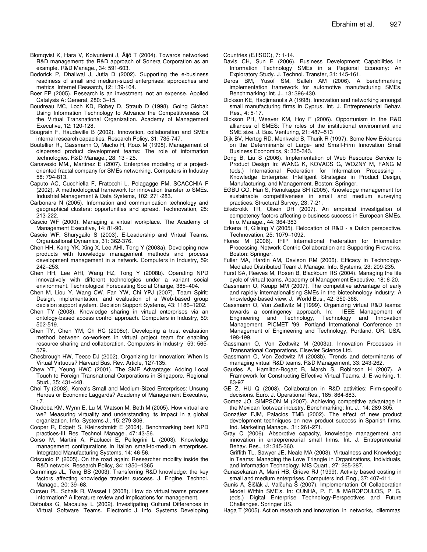- Blomqvist K, Hara V, Koivuniemi J, Äijö T (2004). Towards networked R&D management: the R&D approach of Sonera Corporation as an example. R&D Manage., 34: 591-603.
- Bodorick P, Dhaliwal J, Jutla D (2002). Supporting the e-business readiness of small and medium-sized enterprises: approaches and metrics Internet Research, 12: 139-164.
- Boer FP (2005). Research is an investment, not an expense. Applied Catalysis A: General, 280: 3–15.
- Boudreau MC, Loch KD, Robey D, Straub D (1998). Going Global: Using Information Technology to Advance the Competitiveness Of the Virtual Transnational Organization. Academy of Management Executive, 12: 120-128.
- Bougrain F, Haudeville B (2002). Innovation, collaboration and SMEs internal research capacities. Research Policy, 31: 735-747.
- Boutellier R., Gassmann O, Macho H, Roux M (1998). Management of dispersed product development teams: The role of information technologies. R&D Manage., 28: 13 - 25.
- Canavesio MM., Martinez E (2007). Enterprise modeling of a projectoriented fractal company for SMEs networking. Computers in Industry 58: 794-813.
- Caputo AC, Cucchiella F, Fratocchi L, Pelagagge PM, SCACCHIA F (2002). A methodological framework for innovation transfer to SMEs. Industrial Management & Data Systems, 102: 271-283.
- Carbonara N (2005). Information and communication technology and geographical clusters: opportunities and spread. Technovation, 25: 213-222.
- Cascio WF (2000). Managing a virtual workplace. The Academy of Management Executive, 14: 81-90.
- Cascio WF, Shurygailo S (2003). E-Leadership and Virtual Teams. Organizational Dynamics, 31: 362-376.
- Chen HH, Kang YK, Xing X, Lee AHI, Tong Y (2008a). Developing new products with knowledge management methods and process development management in a network. Computers in Industry, 59: 242–253.
- Chen HH, Lee AHI, Wang HZ, Tong Y (2008b). Operating NPD innovatively with different technologies under a variant social environment. Technological Forecasting Social Change, 385–404.
- Chen M, Liou Y, Wang CW, Fan YW, Chi YPJ (2007). Team Spirit: Design, implementation, and evaluation of a Web-based group decision support system. Decision Support Systems, 43: 1186–1202.
- Chen TY (2008). Knowledge sharing in virtual enterprises via an ontology-based access control approach. Computers in Industry, 59: 502-519.
- Chen TY, Chen YM, Ch HC (2008c). Developing a trust evaluation method between co-workers in virtual project team for enabling resource sharing and collaboration. Computers in Industry 59: 565- 579.
- Chesbrough HW, Teece DJ (2002). Organizing for Innovation: When Is Virtual Virtuous? Harvard Bus. Rev. Article, 127-135.
- Chew YT, Yeung HWC (2001). The SME Advantage: Adding Local Touch to Foreign Transnational Corporations in Singapore. Regional Stud., 35: 431-448.
- Choi Ty (2003). Korea's Small and Medium-Sized Enterprises: Unsung Heroes or Economic Laggards? Academy of Management Executive, 17.
- Chudoba KM, Wynn E, Lu M, Watson M, Beth M (2005). How virtual are we? Measuring virtuality and understanding its impact in a global organization. Info. Systems J., 15: 279-306.
- Cooper R, Edgett S, Kleinschmidt E (2004). Benchmarking best NPD practices-III. Res. Technol. Manage., 47: 43-56.
- Corso M, Martini A, Paolucci E, Pellegrini L (2003). Knowledge management configurations in Italian small-to-medium enterprises. Integrated Manufacturing Systems, 14: 46-56.
- Criscuolo P (2005). On the road again: Researcher mobility inside the R&D network. Research Policy, 34: 1350–1365
- Cummings JL, Teng BS (2003). Transferring R&D knowledge: the key factors affecting knowledge transfer success. J. Engine. Technol. Manage., 20: 39–68.
- Curseu PL, Schalk R, Wessel I (2008). How do virtual teams process information? A literature review and implications for management.
- Dafoulas G, Macaulay L (2002). Investigating Cultural Differences in Virtual Software Teams. Electronic J. Info. Systems Developing

Countries (EJISDC), 7: 1-14.

- Davis CH, Sun E (2006). Business Development Capabilities in Information Technology SMEs in a Regional Economy: An Exploratory Study. J. Technol. Transfer, 31: 145-161.
- Deros BM, Yusof SM, Salleh AM (2006). A benchmarking implementation framework for automotive manufacturing SMEs. Benchmarking: Int. J., 13: 396-430.
- Dickson KE, Hadjimanolis A (1998). Innovation and networking amongst small manufacturing firms in Cyprus. Int. J. Entrepreneurial Behav. Res., 4: 5-17.
- Dickson PH, Weaver KM, Hoy F (2006). Opportunism in the R&D alliances of SMES: The roles of the institutional environment and SME size. J. Bus. Venturing, 21: 487–513
- Dijk BV, Hertog RD, Menkveld B, Thurik R (1997). Some New Evidence on the Determinants of Large- and Small-Firm Innovation Small Business Economics, 9: 335-343.
- Dong B, Liu S (2006). Implementation of Web Resource Service to Product Design In: WANG K, KOVACS G, WOZNY M, FANG M (eds.) International Federation for Information Processing Knowledge Enterprise: Intelligent Strategies in Product Design, Manufacturing, and Management. Boston: Springer.
- EGBU CO, Hari S, Renukappa SH (2005). Knowledge management for sustainable competitiveness in small and medium surveying practices. Structural Survey, 23: 7-21.
- Eikebrokk TR, Olsen DH (2007). An empirical investigation of competency factors affecting e-business success in European SMEs. Info. Manage., 44: 364-383
- Erkena H, Gilsing V (2005). Relocation of R&D a Dutch perspective. Technovation, 25: 1079–1092.
- Flores M (2006). IFIP International Federation for Information Processing. Network-Centric Collaboration and Supporting Fireworks. Boston: Springer.
- Fuller MA, Hardin AM, Davison RM (2006). Efficacy in Technology-Mediated Distributed Team J. Manage. Info. Systems, 23: 209-235.
- Furst SA, Reeves M, Rosen B, Blackburn RS (2004). Managing the life cycle of virtual teams. Academy of Management Executive, 18: 6-20.
- Gassmann O, Keupp MM (2007). The competitive advantage of early and rapidly internationalising SMEs in the biotechnology industry: A knowledge-based view. J. World Bus., 42: 350-366.
- Gassmann O, Von Zedtwitz M (1999). Organizing virtual R&D teams: towards a contingency approach. In: IEEE Management of Engineering and Technology, Technology and Innovation Management. PICMET '99. Portland International Conference on Management of Engineering and Technology, Portland, OR, USA. 198-199.
- Gassmann O, Von Zedtwitz M (2003a). Innovation Processes in Transnational Corporations, Elsevier Science Ltd.
- Gassmann O, Von Zedtwitz M (2003b). Trends and determinants of managing virtual R&D teams. R&D Management, 33: 243-262.
- Gaudes A, Hamilton-Bogart B, Marsh S, Robinson H (2007). A Framework for Constructing Effective Virtual Teams. J. E-working, 1: 83-97
- GE Z, HU Q (2008). Collaboration in R&D activities: Firm-specific decisions. Euro. J. Operational Res., 185: 864-883.
- Gomez JO, SIMPSON M (2007). Achieving competitive advantage in the Mexican footwear industry. Benchmarking: Int. J., 14: 289-305.
- González FJM, Palacios TMB (2002). The effect of new product development techniques on new product success in Spanish firms. Ind. Marketing Manage., 31: 261-271.
- Gray C (2006). Absorptive capacity, knowledge management and innovation in entrepreneurial small firms. Int. J. Entrepreneurial Behav. Res., 12: 345-360.
- Griffith TL, Sawyer JE, Neale MA (2003). Virtualness and Knowledge in Teams: Managing the Love Triangle in Organizations, Individuals, and Information Technology. MIS Quart., 27: 265-287.
- Gunasekaran A, Marri HB, Grieve RJ (1999). Activity based costing in small and medium enterprises. Computers Ind. Eng., 37: 407-411.
- Guniš A, Šišlák J, Valčuha Š (2007). Implementation Of Collaboration Model Within SME's. In: CUNHA, P. F. & MAROPOULOS, P. G. (eds.) Digital Enterprise Technology-Perspectives and Future Challenges. Springer US.
- Haga T (2005). Action research and innovation in networks, dilemmas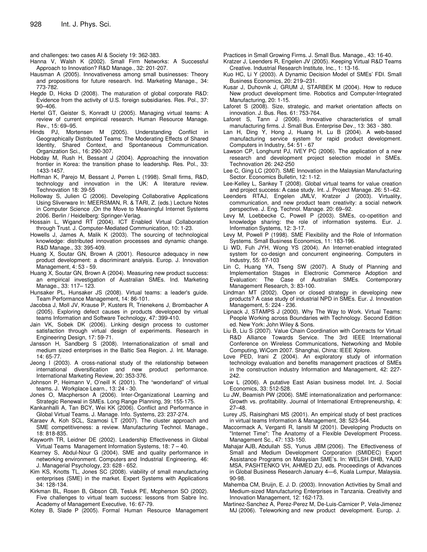and challenges: two cases AI & Society 19: 362-383.

- Hanna V, Walsh K (2002). Small Firm Networks: A Successful Approach to Innovation? R&D Manage., 32: 201-207.
- Hausman A (2005). Innovativeness among small businesses: Theory and propositions for future research. Ind. Marketing Manage., 34: 773-782.
- Hegde D, Hicks D (2008). The maturation of global corporate R&D: Evidence from the activity of U.S. foreign subsidiaries. Res. Pol., 37: 90–406.
- Hertel GT, Geister S, Konradt U (2005). Managing virtual teams: A review of current empirical research. Human Resource Manage. Rev., 15: 69–95.
- Hinds PJ, Mortensen M (2005). Understanding Conflict in Geographically Distributed Teams: The Moderating Effects of Shared Identity, Shared Context, and Spontaneous Communication. Organization Sci., 16: 290-307.
- Hobday M, Rush H, Bessant J (2004). Approaching the innovation frontier in Korea: the transition phase to leadership. Res. Pol., 33: 1433-1457.
- Hoffman K, Parejo M, Bessant J, Perren L (1998). Small firms, R&D, technology and innovation in the UK: A literature review. Technovation 18: 39-55
- Holloway S, Julien C (2006). Developing Collaborative Applications Using Sliverware In: MEERSMAN, R. & TARI, Z. (eds.) Lecture Notes in Computer Science ,On the Move to Meaningful Internet Systems 2006. Berlin / Heidelberg: Springer-Verlag.
- Hossain L, Wigand RT (2004). ICT Enabled Virtual Collaboration through Trust. J. Computer-Mediated Communication, 10: 1-23.
- Howells J, James A, Malik K (2003). The sourcing of technological knowledge: distributed innovation processes and dynamic change. R&D Manage., 33: 395-409.
- Huang X, Soutar GN, Brown A (2001). Resource adequacy in new product development: a discriminant analysis. Europ. J. Innovation Management, 4: 53 - 59.
- Huang X, Soutar GN, Brown A (2004). Measuring new product success: an empirical investigation of Australian SMEs. Ind. Marketing Manage., 33: 117– 123.
- Hunsaker PL, Hunsaker JS (2008). Virtual teams: a leader's guide. Team Performance Management, 14: 86-101.
- Jacobsa J, Moll JV, Krause P, Kusters R, Trienekens J, Brombacher A (2005). Exploring defect causes in products developed by virtual teams Information and Software Technology, 47: 399-410.
- Jain VK, Sobek DK (2006). Linking design process to customer satisfaction through virtual design of experiments. Research in Engineering Design, 17: 59-71.
- Jansson H, Sandberg S (2008). Internationalization of small and medium sized enterprises in the Baltic Sea Region. J. Int. Manage. 14: 65-77.
- Jeong I (2003). A cross-national study of the relationship between international diversification and new product performance. International Marketing Review, 20: 353-376.
- Johnson P, Heimann V, O'neill K (2001). The "wonderland" of virtual teams. J. Workplace Learn., 13: 24 - 30.
- Jones O, Macpherson A (2006). Inter-Organizational Learning and Strategic Renewal in SMEs. Long Range Planning, 39: 155-175.
- Kankanhalli A, Tan BCY, Wei KK (2006). Conflict and Performance in Global Virtual Teams. J. Manage. Info. Systems, 23: 237-274.
- Karaev A, Koh SCL, Szamosi LT (2007). The cluster approach and SME competitiveness: a review. Manufacturing Technol. Manage., 18: 818-835.
- Kayworth TR, Leidner DE (2002). Leadership Effectiveness in Global Virtual Teams Management Information Systems, 18: 7 – 40.
- Kearney S, Abdul-Nour G (2004). SME and quality performance in networking environment. Computers and Industrial Engineering, 46: J. Managerial Psychology, 23: 628 - 652.
- Kim KS, Knotts TL, Jones SC (2008). viability of small manufacturing enterprises (SME) in the market. Expert Systems with Applications 34: 128-134.
- Kirkman BL, Rosen B, Gibson CB, Tesluk PE, Mcpherson SO (2002). Five challenges to virtual team success: lessons from Sabre Inc. Academy of Management Executive, 16: 67-79.
- Kotey B, Slade P (2005). Formal Human Resource Management

Practices in Small Growing Firms. J. Small Bus. Manage., 43: 16-40.

- Kratzer J, Leenders R, Engelen JV (2005). Keeping Virtual R&D Teams Creative. Industrial Research Institute, Inc., 1: 13-16.
- Kuo HC, Li Y (2003). A Dynamic Decision Model of SMEs' FDI. Small Business Economics, 20: 219–231.
- Kusar J, Duhovnik J, GRUM J, STARBEK M (2004). How to reduce New product development time. Robotics and Computer-Integrated Manufacturing, 20: 1-15.
- Laforet S (2008). Size, strategic, and market orientation affects on innovation. J. Bus. Res. 61: 753-764.
- Laforet S, Tann J (2006). Innovative characteristics of small manufacturing firms. J. Small Bus. Enterprise Dev., 13: 363 - 380.
- Lan H, Ding Y, Hong J, Huang H, Lu B (2004). A web-based manufacturing service system for rapid product development. Computers in Industry, 54: 51 - 67
- Lawson CP, Longhurst PJ, IVEY PC (2006). The application of a new research and development project selection model in SMEs. Technovation 26: 242-250
- Lee C, Ging LC (2007). SME Innovation in the Malaysian Manufacturing Sector. Economics Bulletin, 12: 1-12.
- Lee-Kelley L, Sankey T (2008). Global virtual teams for value creation and project success: A case study. Int. J. Project Manage. 26: 51–62.
- Leenders RTAJ, Engelen JMLV, Kratzer J (2003). Virtuality, communication, and new product team creativity: a social network perspective. J. Eng. Technol. Manage. 20: 69–92.
- Levy M, Loebbecke C, Powell P (2003). SMEs, co-opetition and knowledge sharing: the role of information systems. Eur. J. Information Systems, 12: 3-17.
- Levy M, Powell P (1998). SME Flexibility and the Role of Information Systems. Small Business Economics, 11: 183-196.
- Li WD, Fuh JYH, Wong YS (2004). An Internet-enabled integrated system for co-design and concurrent engineering. Computers in Industry, 55: 87-103
- Lin C, Huang YA, Tseng SW (2007). A Study of Planning and Implementation Stages in Electronic Commerce Adoption and Evaluation: The Case of Australian SMEs. Contemporary Management Research, 3: 83-100.
- Lindman MT (2002). Open or closed strategy in developing new products? A case study of industrial NPD in SMEs. Eur. J. Innovation Management, 5: 224 - 236.
- Lipnack J, STAMPS J (2000). Why The Way to Work. Virtual Teams: People Working across Boundaries with Technology. Second Edition ed. New York: John Wiley & Sons.
- Liu B, Liu S (2007). Value Chain Coordination with Contracts for Virtual R&D Alliance Towards Service. The 3rd IEEE International Conference on Wireless Communications, Networking and Mobile Computing, WiCom 2007. Shanghai, China: IEEE Xplore.
- Love PED, Irani Z (2004). An exploratory study of information technology evaluation and benefits management practices of SMEs in the construction industry Information and Management, 42: 227- 242.
- Low L (2006). A putative East Asian business model. Int. J. Social Economics, 33: 512-528.
- Lu JW, Beamish PW (2006). SME internationalization and performance: Growth vs. profitability. Journal of International Entrepreneurship, 4: 27–48.
- Lurey JS, Raisinghani MS (2001). An empirical study of best practices in virtual teams Information & Management, 38: 523-544.
- Maccormack A, Verganti R, Iansiti M (2001). Developing Products on "Internet Time": The Anatomy of a Flexible Development Process. Management Sc., 47: 133-150.
- Mahajar AJB, Abdullah SS, Yunus JBM (2006). The Effectiveness of Small and Medium Development Corporation (SMIDEC) Export Assistance Programs on Malaysian SME's. In: WELSH DHB, YAJID MSA, PASHTENKO VH, AHMED ZU, eds. Proceedings of Advances in Global Business Research January 4—6, Kuala Lumpur, Malaysia. 90-98.
- Mahemba CM, Bruijn, E. J. D. (2003). Innovation Activities by Small and Medium-sized Manufacturing Enterprises in Tanzania. Creativity and Innovation Management, 12: 162-173.
- Martinez-Sanchez A, Perez-Perez M, De-Luis-Carnicer P, Vela-Jimenez MJ (2006). Teleworking and new product development. Europ. J.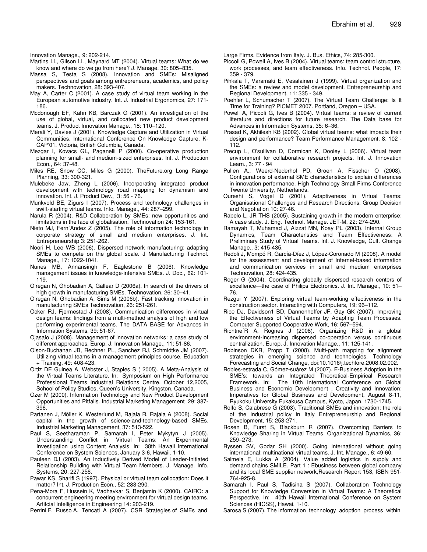Innovation Manage., 9: 202-214.

- Martins LL, Gilson LL, Maynard MT (2004). Virtual teams: What do we know and where do we go from here? J. Manage. 30: 805–835.
- Massa S, Testa S (2008). Innovation and SMEs: Misaligned perspectives and goals among entrepreneurs, academics, and policy makers. Technovation, 28: 393-407.
- May A, Carter C (2001). A case study of virtual team working in the European automotive industry. Int. J. Industrial Ergonomics, 27: 171- 186.
- Mcdonough EF, Kahn KB, Barczak G (2001). An investigation of the use of global, virtual, and collocated new product development teams. J. Product Innovation Manage., 18: 110–120.
- Merali Y, Davies J (2001). Knowledge Capture and Utilization in Virtual Communities. International Conference On Knowledge Capture, K-CAP'01. Victoria, British Columbia, Canada.
- Mezgar I, Kovacs GL, Paganelli P (2000). Co-operative production planning for small- and medium-sized enterprises. Int. J. Production Econ., 64: 37-48.
- Miles RE, Snow CC, Miles G (2000). TheFuture.org Long Range Planning, 33: 300-321.
- Mulebeke Jaw, Zheng L (2006). Incorporating integrated product development with technology road mapping for dynamism and innovation. Int. J. Product Dev., 3: 56 - 76.
- Munkvold BE, Zigurs I (2007). Process and technology challenges in swift-starting virtual teams. Info. Manage., 44: 287–299.
- Narula R (2004). R&D Collaboration by SMEs: new opportunities and limitations in the face of globalisation. Technovation 24: 153-161.
- Nieto MJ, Fern´Andez Z (2005). The role of information technology in corporate strategy of small and medium enterprises. J. Int. Entrepreneurship 3: 251-262.
- Noori H, Lee WB (2006). Dispersed network manufacturing: adapting SMEs to compete on the global scale. J Manufacturing Technol. Manage., 17: 1022-1041.
- Nunes MB, Annansingh F, Eaglestone B (2006). Knowledge management issues in knowledge-intensive SMEs. J. Doc., 62: 101- 119.
- O'regan N, Ghobadian A, Gallear D (2006a). In search of the drivers of high growth in manufacturing SMEs. Technovation, 26: 30–41.
- O'regan N, Ghobadian A, Sims M (2006b). Fast tracking innovation in manufacturing SMEs Technovation, 26: 251-261.
- Ocker RJ, Fjermestad J (2008). Communication differences in virtual design teams: findings from a multi-method analysis of high and low performing experimental teams. The DATA BASE for Advances in Information Systems, 39: 51-67.
- Ojasalo J (2008). Management of innovation networks: a case study of different approaches. Europ. J. Innovation Manage., 11: 51-86.
- Olson-Buchanan JB, Rechner PL, Sanchez RJ, Schmidtke JM (2007). Utilizing virtual teams in a management principles course. Education + Training, 49: 408-423.
- Ortiz DE Guinea A, Webster J, Staples S ( 2005). A Meta-Analysis of the Virtual Teams Literature. In: Symposium on High Performance Professional Teams Industrial Relations Centre, October 12,2005, School of Policy Studies, Queen's University, Kingston, Canada.
- Ozer M (2000). Information Technology and New Product Development Opportunities and Pitfalls. Industrial Marketing Management 29: 387- 396.
- Partanen J, Möller K, Westerlund M, Rajala R, Rajala A (2008). Social capital in the growth of science-and-technology-based SMEs. Industrial Marketing Management, 37: 513-522.
- Paul S, Seetharaman P, Samarah I, Peter Mykytyn J (2005). Understanding Conflict in Virtual Teams: An Experimental Investigation using Content Analysis. In: 38th Hawaii International Conference on System Sciences, January 3-6, Hawaii. 1-10.
- Pauleen DJ (2003). An Inductively Derived Model of Leader-Initiated Relationship Building with Virtual Team Members. J. Manage. Info. Systems, 20: 227-256.
- Pawar KS, Sharifi S (1997). Physical or virtual team collocation: Does it matter? Int. J. Production Econ., 52: 283-290.
- Pena-Mora F, Hussein K, Vadhavkar S, Benjamin K (2000). CAIRO: a concurrent engineering meeting environment for virtual design teams. Artifcial Intelligence in Engineering 14: 203-219.

Perrini F, Russo A, Tencati A (2007). CSR Strategies of SMEs and

Large Firms. Evidence from Italy. J. Bus. Ethics, 74: 285-300.

- Piccoli G, Powell A, Ives B (2004). Virtual teams: team control structure, work processes, and team effectiveness. Info. Technol. People, 17: 359 - 379.
- Pihkala T, Varamaki E, Vesalainen J (1999). Virtual organization and the SMEs: a review and model development. Entrepreneurship and Regional Development, 11: 335 - 349.
- Poehler L, Schumacher T (2007). The Virtual Team Challenge: Is It Time for Training? PICMET 2007. Portland, Oregon – USA.
- Powell A, Piccoli G, Ives B (2004). Virtual teams: a review of current literature and directions for future research. The Data base for Advances in Information Systems, 35: 6–36.
- Prasad K, Akhilesh KB (2002). Global virtual teams: what impacts their design and performance? Team Performance Management, 8: 102 - 112.
- Precup L, O'sullivan D, Cormican K, Dooley L (2006). Virtual team environment for collaborative research projects. Int. J. Innovation Learn., 3: 77 - 94
- Pullen A., Weerd-Nederhof PD, Groen A, Fisscher O (2008). Configurations of external SME characteristics to explain differences in innovation performance. High Technology Small Firms Conference Twente University, Netherlands.
- Qureshi S, Vogel D (2001). Adaptiveness in Virtual Teams: Organisational Challenges and Research Directions. Group Decision and Negotiation 10: 27-46.
- Rabelo L, JR THS (2005). Sustaining growth in the modern enterprise: A case study. J. Eng. Technol. Manage. JET-M, 22: 274-290.
- Ramayah T, Muhamad J, Aizzat MN, Koay PL (2003). Internal Group Dynamics, Team Characteristics and Team Effectiveness: A Preliminary Study of Virtual Teams. Int. J. Knowledge, Cult. Change Manage., 3: 415-435.
- Redoli J, Mompó R, García-Díez J, López-Coronado M (2008). A model for the assessment and development of Internet-based information and communication services in small and medium enterprises Technovation, 28: 424-435.
- Reger G (2004). Coordinating globally dispersed research centers of excellence—the case of Philips Electronics. J. Int. Manage., 10: 51– 76.
- Rezgui Y (2007). Exploring virtual team-working effectiveness in the construction sector. Interacting with Computers, 19: 96–112.
- Rice DJ, Davidson1 BD, Dannenhoffer JF, Gay GK (2007). Improving the Effectiveness of Virtual Teams by Adapting Team Processes. Computer Supported Cooperative Work, 16: 567–594.
- Richtne´R A, Rognes J (2008). Organizing R&D in a global environment-Increasing dispersed co-operation versus continuous centralization. Europ. J. Innovation Manage., 11: 125-141.
- Robinson DKR, Propp T (2008). Multi-path mapping for alignment strategies in emerging science and technologies. Technology Forecasting and Social Change, doi:10.1016/j.techfore.2008.02.002.
- Robles-estrada C, Gómez-suárez M (2007). E-Business Adoption in the SME's: towards an Integrated Theoretical-Empirical Research Framework. In: The 10th International Conference on Global Business and Economic Development , Creativity and Innovation: Imperatives for Global Business and Development, August 8-11, Ryukoku University Fukakusa Campus, Kyoto, Japan. 1730-1745.
- Rolfo S, Calabrese G (2003). Traditional SMEs and innovation: the role of the industrial policy in Italy Entrepreneurship and Regional Development, 15: 253-271.
- Rosen B, Furst S, Blackburn R (2007). Overcoming Barriers to Knowledge Sharing in Virtual Teams. Organizational Dynamics, 36: 259–273.
- Ryssen SV, Godar SH (2000). Going international without going international: multinational virtual teams. J. Int. Manage., 6: 49-60.
- Salmela E, Lukka A (2004). Value added logistics in supply and demand chains SMILE. Part 1 : Ebusiness between global company and its local SME supplier network,Research Report 153, ISBN 951- 764-925-8.
- Samarah I, Paul S, Tadisina S (2007). Collaboration Technology Support for Knowledge Conversion in Virtual Teams: A Theoretical Perspective. In: 40th Hawaii International Conference on System Sciences (HICSS), Hawai. 1-10.
- Sarosa S (2007). The information technology adoption process within